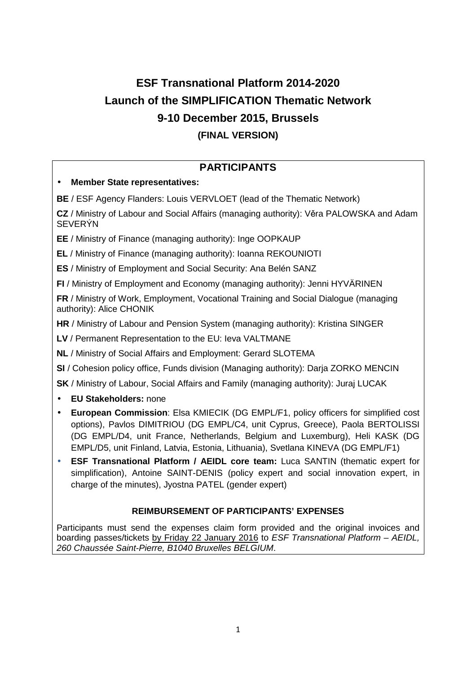# **ESF Transnational Platform 2014-2020 Launch of the SIMPLIFICATION Thematic Network 9-10 December 2015, Brussels (FINAL VERSION)**

# **PARTICIPANTS**

## • **Member State representatives:**

**BE** / ESF Agency Flanders: Louis VERVLOET (lead of the Thematic Network)

**CZ** / Ministry of Labour and Social Affairs (managing authority): Věra PALOWSKA and Adam **SEVERÝN** 

**EE** / Ministry of Finance (managing authority): Inge OOPKAUP

**EL** / Ministry of Finance (managing authority): Ioanna REKOUNIOTI

**ES** / Ministry of Employment and Social Security: Ana Belén SANZ

**FI** / Ministry of Employment and Economy (managing authority): Jenni HYVÄRINEN

**FR** / Ministry of Work, Employment, Vocational Training and Social Dialogue (managing authority): Alice CHONIK

**HR** / Ministry of Labour and Pension System (managing authority): Kristina SINGER

**LV** / Permanent Representation to the EU: Ieva VALTMANE

**NL** / Ministry of Social Affairs and Employment: Gerard SLOTEMA

**SI** / Cohesion policy office, Funds division (Managing authority): Darja ZORKO MENCIN

**SK** / Ministry of Labour, Social Affairs and Family (managing authority): Juraj LUCAK

- **EU Stakeholders:** none
- **European Commission**: Elsa KMIECIK (DG EMPL/F1, policy officers for simplified cost options), Pavlos DIMITRIOU (DG EMPL/C4, unit Cyprus, Greece), Paola BERTOLISSI (DG EMPL/D4, unit France, Netherlands, Belgium and Luxemburg), Heli KASK (DG EMPL/D5, unit Finland, Latvia, Estonia, Lithuania), Svetlana KINEVA (DG EMPL/F1)
- **ESF Transnational Platform / AEIDL core team:** Luca SANTIN (thematic expert for simplification), Antoine SAINT-DENIS (policy expert and social innovation expert, in charge of the minutes), Jyostna PATEL (gender expert)

## **REIMBURSEMENT OF PARTICIPANTS' EXPENSES**

Participants must send the expenses claim form provided and the original invoices and boarding passes/tickets by Friday 22 January 2016 to ESF Transnational Platform – AEIDL, 260 Chaussée Saint-Pierre, B1040 Bruxelles BELGIUM.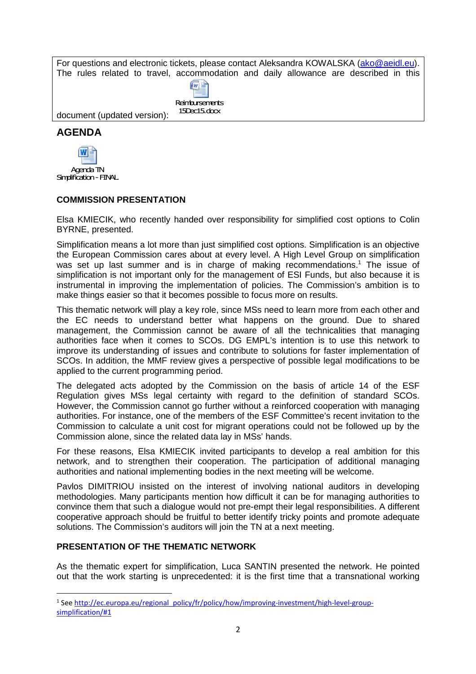For questions and electronic tickets, please contact Aleksandra KOWALSKA (ako@aeidl.eu). The rules related to travel, accommodation and daily allowance are described in this

| Reinbursements |  |  |
|----------------|--|--|

15Dec15.docx

document (updated version):

# **AGENDA**



#### **COMMISSION PRESENTATION**

Elsa KMIECIK, who recently handed over responsibility for simplified cost options to Colin BYRNE, presented.

Simplification means a lot more than just simplified cost options. Simplification is an objective the European Commission cares about at every level. A High Level Group on simplification was set up last summer and is in charge of making recommendations.<sup>1</sup> The issue of simplification is not important only for the management of ESI Funds, but also because it is instrumental in improving the implementation of policies. The Commission's ambition is to make things easier so that it becomes possible to focus more on results.

This thematic network will play a key role, since MSs need to learn more from each other and the EC needs to understand better what happens on the ground. Due to shared management, the Commission cannot be aware of all the technicalities that managing authorities face when it comes to SCOs. DG EMPL's intention is to use this network to improve its understanding of issues and contribute to solutions for faster implementation of SCOs. In addition, the MMF review gives a perspective of possible legal modifications to be applied to the current programming period.

The delegated acts adopted by the Commission on the basis of article 14 of the ESF Regulation gives MSs legal certainty with regard to the definition of standard SCOs. However, the Commission cannot go further without a reinforced cooperation with managing authorities. For instance, one of the members of the ESF Committee's recent invitation to the Commission to calculate a unit cost for migrant operations could not be followed up by the Commission alone, since the related data lay in MSs' hands.

For these reasons, Elsa KMIECIK invited participants to develop a real ambition for this network, and to strengthen their cooperation. The participation of additional managing authorities and national implementing bodies in the next meeting will be welcome.

Pavlos DIMITRIOU insisted on the interest of involving national auditors in developing methodologies. Many participants mention how difficult it can be for managing authorities to convince them that such a dialogue would not pre-empt their legal responsibilities. A different cooperative approach should be fruitful to better identify tricky points and promote adequate solutions. The Commission's auditors will join the TN at a next meeting.

#### **PRESENTATION OF THE THEMATIC NETWORK**

l

As the thematic expert for simplification, Luca SANTIN presented the network. He pointed out that the work starting is unprecedented: it is the first time that a transnational working

<sup>&</sup>lt;sup>1</sup> See http://ec.europa.eu/regional\_policy/fr/policy/how/improving-investment/high-level-groupsimplification/#1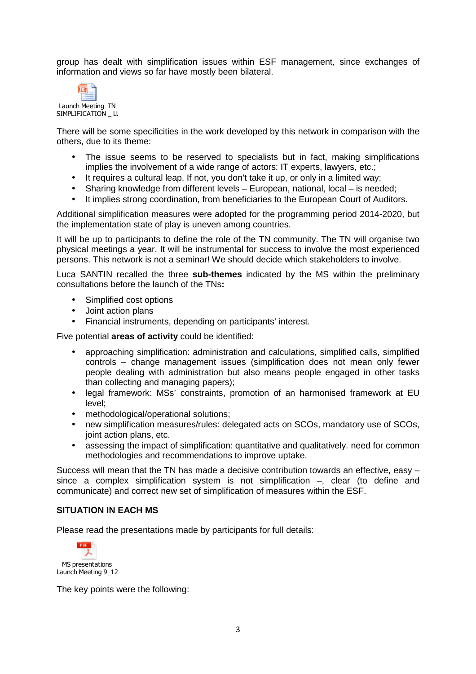group has dealt with simplification issues within ESF management, since exchanges of information and views so far have mostly been bilateral.



SIMPLIFICATION \_ LL

There will be some specificities in the work developed by this network in comparison with the others, due to its theme:

- The issue seems to be reserved to specialists but in fact, making simplifications implies the involvement of a wide range of actors: IT experts, lawyers, etc.;
- It requires a cultural leap. If not, you don't take it up, or only in a limited way;
- Sharing knowledge from different levels European, national, local is needed:
- It implies strong coordination, from beneficiaries to the European Court of Auditors.

Additional simplification measures were adopted for the programming period 2014-2020, but the implementation state of play is uneven among countries.

It will be up to participants to define the role of the TN community. The TN will organise two physical meetings a year. It will be instrumental for success to involve the most experienced persons. This network is not a seminar! We should decide which stakeholders to involve.

Luca SANTIN recalled the three **sub-themes** indicated by the MS within the preliminary consultations before the launch of the TNs**:**

- Simplified cost options
- Joint action plans
- Financial instruments, depending on participants' interest.

Five potential **areas of activity** could be identified:

- approaching simplification: administration and calculations, simplified calls, simplified controls – change management issues (simplification does not mean only fewer people dealing with administration but also means people engaged in other tasks than collecting and managing papers);
- legal framework: MSs' constraints, promotion of an harmonised framework at EU level;
- methodological/operational solutions;
- new simplification measures/rules: delegated acts on SCOs, mandatory use of SCOs, joint action plans, etc.
- assessing the impact of simplification: quantitative and qualitatively, need for common methodologies and recommendations to improve uptake.

Success will mean that the TN has made a decisive contribution towards an effective, easy – since a complex simplification system is not simplification –, clear (to define and communicate) and correct new set of simplification of measures within the ESF.

#### **SITUATION IN EACH MS**

Please read the presentations made by participants for full details:



The key points were the following: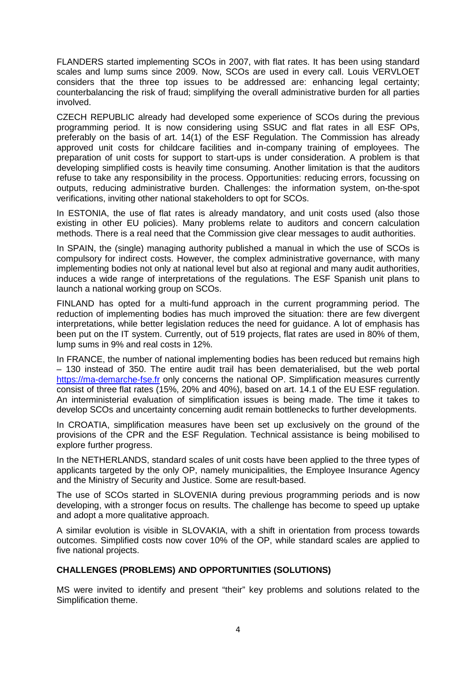FLANDERS started implementing SCOs in 2007, with flat rates. It has been using standard scales and lump sums since 2009. Now, SCOs are used in every call. Louis VERVLOET considers that the three top issues to be addressed are: enhancing legal certainty; counterbalancing the risk of fraud; simplifying the overall administrative burden for all parties involved.

CZECH REPUBLIC already had developed some experience of SCOs during the previous programming period. It is now considering using SSUC and flat rates in all ESF OPs, preferably on the basis of art. 14(1) of the ESF Regulation. The Commission has already approved unit costs for childcare facilities and in-company training of employees. The preparation of unit costs for support to start-ups is under consideration. A problem is that developing simplified costs is heavily time consuming. Another limitation is that the auditors refuse to take any responsibility in the process. Opportunities: reducing errors, focussing on outputs, reducing administrative burden. Challenges: the information system, on-the-spot verifications, inviting other national stakeholders to opt for SCOs.

In ESTONIA, the use of flat rates is already mandatory, and unit costs used (also those existing in other EU policies). Many problems relate to auditors and concern calculation methods. There is a real need that the Commission give clear messages to audit authorities.

In SPAIN, the (single) managing authority published a manual in which the use of SCOs is compulsory for indirect costs. However, the complex administrative governance, with many implementing bodies not only at national level but also at regional and many audit authorities, induces a wide range of interpretations of the regulations. The ESF Spanish unit plans to launch a national working group on SCOs.

FINLAND has opted for a multi-fund approach in the current programming period. The reduction of implementing bodies has much improved the situation: there are few divergent interpretations, while better legislation reduces the need for guidance. A lot of emphasis has been put on the IT system. Currently, out of 519 projects, flat rates are used in 80% of them, lump sums in 9% and real costs in 12%.

In FRANCE, the number of national implementing bodies has been reduced but remains high – 130 instead of 350. The entire audit trail has been dematerialised, but the web portal https://ma-demarche-fse.fr only concerns the national OP. Simplification measures currently consist of three flat rates (15%, 20% and 40%), based on art. 14.1 of the EU ESF regulation. An interministerial evaluation of simplification issues is being made. The time it takes to develop SCOs and uncertainty concerning audit remain bottlenecks to further developments.

In CROATIA, simplification measures have been set up exclusively on the ground of the provisions of the CPR and the ESF Regulation. Technical assistance is being mobilised to explore further progress.

In the NETHERLANDS, standard scales of unit costs have been applied to the three types of applicants targeted by the only OP, namely municipalities, the Employee Insurance Agency and the Ministry of Security and Justice. Some are result-based.

The use of SCOs started in SLOVENIA during previous programming periods and is now developing, with a stronger focus on results. The challenge has become to speed up uptake and adopt a more qualitative approach.

A similar evolution is visible in SLOVAKIA, with a shift in orientation from process towards outcomes. Simplified costs now cover 10% of the OP, while standard scales are applied to five national projects.

#### **CHALLENGES (PROBLEMS) AND OPPORTUNITIES (SOLUTIONS)**

MS were invited to identify and present "their" key problems and solutions related to the Simplification theme.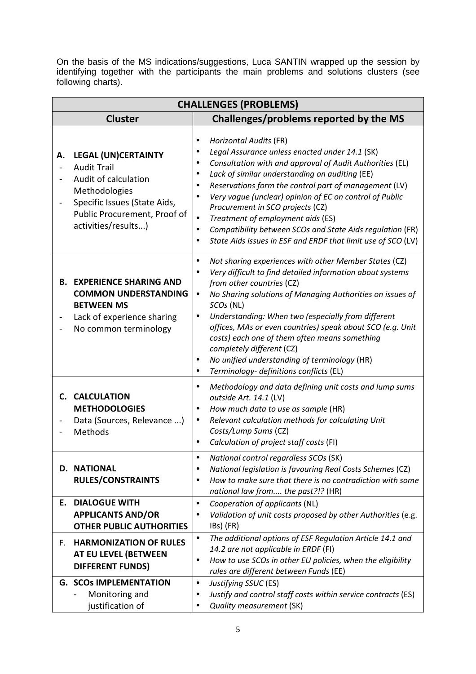On the basis of the MS indications/suggestions, Luca SANTIN wrapped up the session by identifying together with the participants the main problems and solutions clusters (see following charts).

| <b>CHALLENGES (PROBLEMS)</b> |                                                                                                                                                                                  |                                                                                                                                                                                                                                                                                                                                                                                                                                                                                                                                                                                                      |  |  |
|------------------------------|----------------------------------------------------------------------------------------------------------------------------------------------------------------------------------|------------------------------------------------------------------------------------------------------------------------------------------------------------------------------------------------------------------------------------------------------------------------------------------------------------------------------------------------------------------------------------------------------------------------------------------------------------------------------------------------------------------------------------------------------------------------------------------------------|--|--|
|                              | Challenges/problems reported by the MS<br><b>Cluster</b>                                                                                                                         |                                                                                                                                                                                                                                                                                                                                                                                                                                                                                                                                                                                                      |  |  |
| Α.                           | <b>LEGAL (UN)CERTAINTY</b><br><b>Audit Trail</b><br>Audit of calculation<br>Methodologies<br>Specific Issues (State Aids,<br>Public Procurement, Proof of<br>activities/results) | <b>Horizontal Audits (FR)</b><br>Legal Assurance unless enacted under 14.1 (SK)<br>Consultation with and approval of Audit Authorities (EL)<br>$\bullet$<br>Lack of similar understanding on auditing (EE)<br>$\bullet$<br>Reservations form the control part of management (LV)<br>Very vague (unclear) opinion of EC on control of Public<br>$\bullet$<br>Procurement in SCO projects (CZ)<br>Treatment of employment aids (ES)<br>$\bullet$<br>Compatibility between SCOs and State Aids regulation (FR)<br>$\bullet$<br>State Aids issues in ESF and ERDF that limit use of SCO (LV)             |  |  |
|                              | <b>B. EXPERIENCE SHARING AND</b><br><b>COMMON UNDERSTANDING</b><br><b>BETWEEN MS</b><br>Lack of experience sharing<br>No common terminology                                      | Not sharing experiences with other Member States (CZ)<br>$\bullet$<br>Very difficult to find detailed information about systems<br>$\bullet$<br>from other countries (CZ)<br>No Sharing solutions of Managing Authorities on issues of<br>$\bullet$<br>SCOs (NL)<br>Understanding: When two (especially from different<br>$\bullet$<br>offices, MAs or even countries) speak about SCO (e.g. Unit<br>costs) each one of them often means something<br>completely different (CZ)<br>No unified understanding of terminology (HR)<br>$\bullet$<br>Terminology- definitions conflicts (EL)<br>$\bullet$ |  |  |
|                              | C. CALCULATION<br><b>METHODOLOGIES</b><br>Data (Sources, Relevance )<br>Methods                                                                                                  | Methodology and data defining unit costs and lump sums<br>outside Art. 14.1 (LV)<br>How much data to use as sample (HR)<br>Relevant calculation methods for calculating Unit<br>$\bullet$<br>Costs/Lump Sums (CZ)<br>Calculation of project staff costs (FI)                                                                                                                                                                                                                                                                                                                                         |  |  |
|                              | <b>D. NATIONAL</b><br><b>RULES/CONSTRAINTS</b>                                                                                                                                   | National control regardless SCOs (SK)<br>National legislation is favouring Real Costs Schemes (CZ)<br>٠<br>How to make sure that there is no contradiction with some<br>$\bullet$<br>national law from the past?!? (HR)                                                                                                                                                                                                                                                                                                                                                                              |  |  |
| Ε.                           | <b>DIALOGUE WITH</b><br><b>APPLICANTS AND/OR</b><br><b>OTHER PUBLIC AUTHORITIES</b>                                                                                              | Cooperation of applicants (NL)<br>$\bullet$<br>Validation of unit costs proposed by other Authorities (e.g.<br>$\bullet$<br>IBs) (FR)                                                                                                                                                                                                                                                                                                                                                                                                                                                                |  |  |
| F.                           | <b>HARMONIZATION OF RULES</b><br>AT EU LEVEL (BETWEEN<br><b>DIFFERENT FUNDS)</b>                                                                                                 | The additional options of ESF Regulation Article 14.1 and<br>٠<br>14.2 are not applicable in ERDF (FI)<br>How to use SCOs in other EU policies, when the eligibility<br>$\bullet$<br>rules are different between Funds (EE)                                                                                                                                                                                                                                                                                                                                                                          |  |  |
|                              | <b>G. SCOs IMPLEMENTATION</b><br>Monitoring and<br>justification of                                                                                                              | Justifying SSUC (ES)<br>$\bullet$<br>Justify and control staff costs within service contracts (ES)<br>Quality measurement (SK)                                                                                                                                                                                                                                                                                                                                                                                                                                                                       |  |  |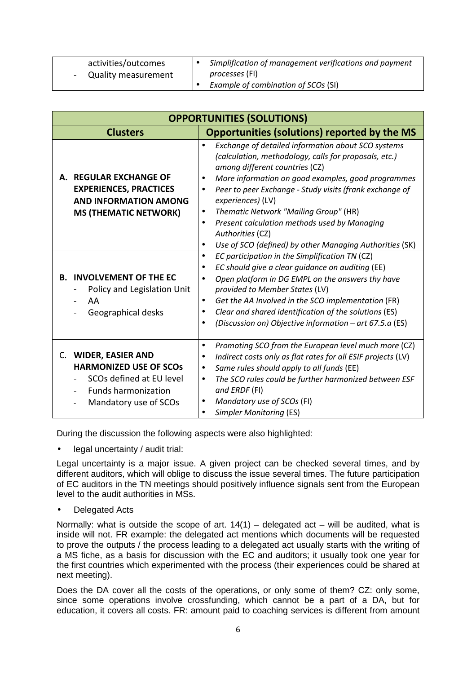| activities/outcomes<br><b>Quality measurement</b><br>$\sim$ | Simplification of management verifications and payment<br><i>processes</i> (FI) |
|-------------------------------------------------------------|---------------------------------------------------------------------------------|
|                                                             | Example of combination of SCOs (SI)                                             |

| <b>OPPORTUNITIES (SOLUTIONS)</b>                                                                                                                   |                                                                                                                                                                                                                                                                                                                                                                                                                                                                                                    |  |  |  |
|----------------------------------------------------------------------------------------------------------------------------------------------------|----------------------------------------------------------------------------------------------------------------------------------------------------------------------------------------------------------------------------------------------------------------------------------------------------------------------------------------------------------------------------------------------------------------------------------------------------------------------------------------------------|--|--|--|
| <b>Clusters</b>                                                                                                                                    | <b>Opportunities (solutions) reported by the MS</b>                                                                                                                                                                                                                                                                                                                                                                                                                                                |  |  |  |
| A. REGULAR EXCHANGE OF<br><b>EXPERIENCES, PRACTICES</b><br><b>AND INFORMATION AMONG</b><br><b>MS (THEMATIC NETWORK)</b>                            | Exchange of detailed information about SCO systems<br>$\bullet$<br>(calculation, methodology, calls for proposals, etc.)<br>among different countries (CZ)<br>More information on good examples, good programmes<br>Peer to peer Exchange - Study visits (frank exchange of<br>$\bullet$<br>experiences) (LV)<br>Thematic Network "Mailing Group" (HR)<br>Present calculation methods used by Managing<br>$\bullet$<br>Authorities (CZ)<br>Use of SCO (defined) by other Managing Authorities (SK) |  |  |  |
| <b>INVOLVEMENT OF THE EC</b><br>В.<br>Policy and Legislation Unit<br>AA<br>Geographical desks                                                      | EC participation in the Simplification TN (CZ)<br>$\bullet$<br>EC should give a clear guidance on auditing (EE)<br>$\bullet$<br>Open platform in DG EMPL on the answers thy have<br>$\bullet$<br>provided to Member States (LV)<br>Get the AA Involved in the SCO implementation (FR)<br>٠<br>Clear and shared identification of the solutions (ES)<br>(Discussion on) Objective information – art $67.5.a$ (ES)<br>$\bullet$                                                                      |  |  |  |
| <b>WIDER, EASIER AND</b><br>C.<br><b>HARMONIZED USE OF SCOS</b><br>SCOs defined at EU level<br><b>Funds harmonization</b><br>Mandatory use of SCOs | Promoting SCO from the European level much more (CZ)<br>Indirect costs only as flat rates for all ESIF projects (LV)<br>Same rules should apply to all funds (EE)<br>$\bullet$<br>The SCO rules could be further harmonized between ESF<br>٠<br>and ERDF (FI)<br>Mandatory use of SCOs (FI)<br>٠<br><b>Simpler Monitoring (ES)</b>                                                                                                                                                                 |  |  |  |

During the discussion the following aspects were also highlighted:

legal uncertainty / audit trial:

Legal uncertainty is a major issue. A given project can be checked several times, and by different auditors, which will oblige to discuss the issue several times. The future participation of EC auditors in the TN meetings should positively influence signals sent from the European level to the audit authorities in MSs.

• Delegated Acts

Normally: what is outside the scope of art.  $14(1)$  – delegated act – will be audited, what is inside will not. FR example: the delegated act mentions which documents will be requested to prove the outputs / the process leading to a delegated act usually starts with the writing of a MS fiche, as a basis for discussion with the EC and auditors; it usually took one year for the first countries which experimented with the process (their experiences could be shared at next meeting).

Does the DA cover all the costs of the operations, or only some of them? CZ: only some, since some operations involve crossfunding, which cannot be a part of a DA, but for education, it covers all costs. FR: amount paid to coaching services is different from amount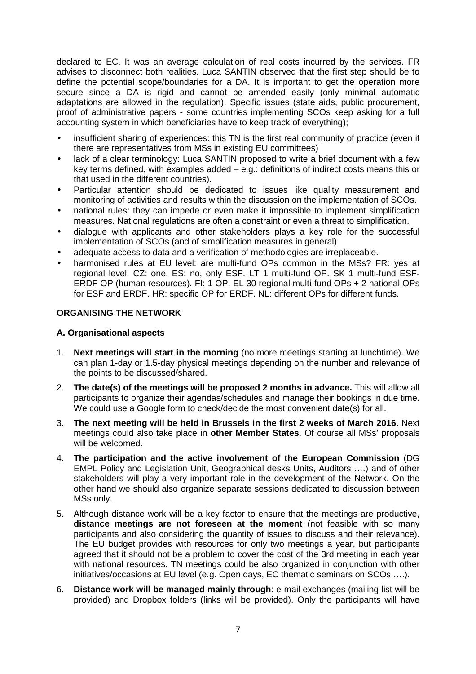declared to EC. It was an average calculation of real costs incurred by the services. FR advises to disconnect both realities. Luca SANTIN observed that the first step should be to define the potential scope/boundaries for a DA. It is important to get the operation more secure since a DA is rigid and cannot be amended easily (only minimal automatic adaptations are allowed in the regulation). Specific issues (state aids, public procurement, proof of administrative papers - some countries implementing SCOs keep asking for a full accounting system in which beneficiaries have to keep track of everything);

- insufficient sharing of experiences: this TN is the first real community of practice (even if there are representatives from MSs in existing EU committees)
- lack of a clear terminology: Luca SANTIN proposed to write a brief document with a few key terms defined, with examples added – e.g.: definitions of indirect costs means this or that used in the different countries).
- Particular attention should be dedicated to issues like quality measurement and monitoring of activities and results within the discussion on the implementation of SCOs.
- national rules: they can impede or even make it impossible to implement simplification measures. National regulations are often a constraint or even a threat to simplification.
- dialogue with applicants and other stakeholders plays a key role for the successful implementation of SCOs (and of simplification measures in general)
- adequate access to data and a verification of methodologies are irreplaceable.
- harmonised rules at EU level: are multi-fund OPs common in the MSs? FR: yes at regional level. CZ: one. ES: no, only ESF. LT 1 multi-fund OP. SK 1 multi-fund ESF-ERDF OP (human resources). FI: 1 OP. EL 30 regional multi-fund OPs + 2 national OPs for ESF and ERDF. HR: specific OP for ERDF. NL: different OPs for different funds.

#### **ORGANISING THE NETWORK**

#### **A. Organisational aspects**

- 1. **Next meetings will start in the morning** (no more meetings starting at lunchtime). We can plan 1-day or 1.5-day physical meetings depending on the number and relevance of the points to be discussed/shared.
- 2. **The date(s) of the meetings will be proposed 2 months in advance.** This will allow all participants to organize their agendas/schedules and manage their bookings in due time. We could use a Google form to check/decide the most convenient date(s) for all.
- 3. **The next meeting will be held in Brussels in the first 2 weeks of March 2016.** Next meetings could also take place in **other Member States**. Of course all MSs' proposals will be welcomed.
- 4. **The participation and the active involvement of the European Commission** (DG EMPL Policy and Legislation Unit, Geographical desks Units, Auditors ….) and of other stakeholders will play a very important role in the development of the Network. On the other hand we should also organize separate sessions dedicated to discussion between MSs only.
- 5. Although distance work will be a key factor to ensure that the meetings are productive, **distance meetings are not foreseen at the moment** (not feasible with so many participants and also considering the quantity of issues to discuss and their relevance). The EU budget provides with resources for only two meetings a year, but participants agreed that it should not be a problem to cover the cost of the 3rd meeting in each year with national resources. TN meetings could be also organized in conjunction with other initiatives/occasions at EU level (e.g. Open days, EC thematic seminars on SCOs ….).
- 6. **Distance work will be managed mainly through**: e-mail exchanges (mailing list will be provided) and Dropbox folders (links will be provided). Only the participants will have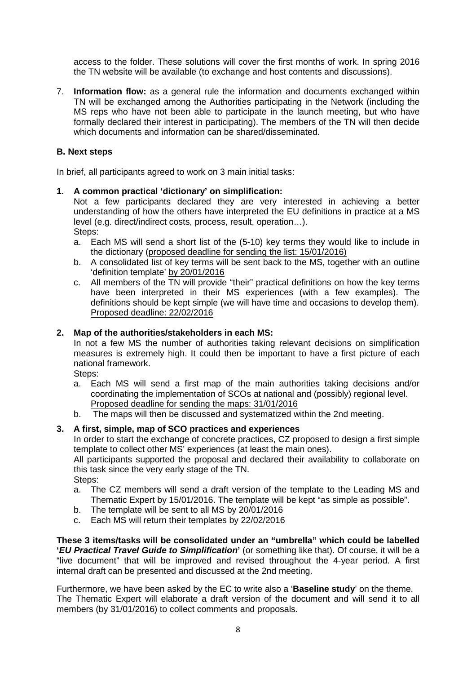access to the folder. These solutions will cover the first months of work. In spring 2016 the TN website will be available (to exchange and host contents and discussions).

7. **Information flow:** as a general rule the information and documents exchanged within TN will be exchanged among the Authorities participating in the Network (including the MS reps who have not been able to participate in the launch meeting, but who have formally declared their interest in participating). The members of the TN will then decide which documents and information can be shared/disseminated.

#### **B. Next steps**

In brief, all participants agreed to work on 3 main initial tasks:

#### **1. A common practical 'dictionary' on simplification:**

Not a few participants declared they are very interested in achieving a better understanding of how the others have interpreted the EU definitions in practice at a MS level (e.g. direct/indirect costs, process, result, operation…). Steps:

- a. Each MS will send a short list of the (5-10) key terms they would like to include in the dictionary (proposed deadline for sending the list: 15/01/2016)
- b. A consolidated list of key terms will be sent back to the MS, together with an outline 'definition template' by 20/01/2016
- c. All members of the TN will provide "their" practical definitions on how the key terms have been interpreted in their MS experiences (with a few examples). The definitions should be kept simple (we will have time and occasions to develop them). Proposed deadline: 22/02/2016

#### **2. Map of the authorities/stakeholders in each MS:**

In not a few MS the number of authorities taking relevant decisions on simplification measures is extremely high. It could then be important to have a first picture of each national framework.

Steps:

- a. Each MS will send a first map of the main authorities taking decisions and/or coordinating the implementation of SCOs at national and (possibly) regional level. Proposed deadline for sending the maps: 31/01/2016
- b. The maps will then be discussed and systematized within the 2nd meeting.

#### **3. A first, simple, map of SCO practices and experiences**

In order to start the exchange of concrete practices, CZ proposed to design a first simple template to collect other MS' experiences (at least the main ones).

All participants supported the proposal and declared their availability to collaborate on this task since the very early stage of the TN.

Steps:

- a. The CZ members will send a draft version of the template to the Leading MS and Thematic Expert by 15/01/2016. The template will be kept "as simple as possible".
- b. The template will be sent to all MS by 20/01/2016
- c. Each MS will return their templates by 22/02/2016

**These 3 items/tasks will be consolidated under an "umbrella" which could be labelled 'EU Practical Travel Guide to Simplification'** (or something like that). Of course, it will be a "live document" that will be improved and revised throughout the 4-year period. A first internal draft can be presented and discussed at the 2nd meeting.

Furthermore, we have been asked by the EC to write also a '**Baseline study**' on the theme. The Thematic Expert will elaborate a draft version of the document and will send it to all members (by 31/01/2016) to collect comments and proposals.